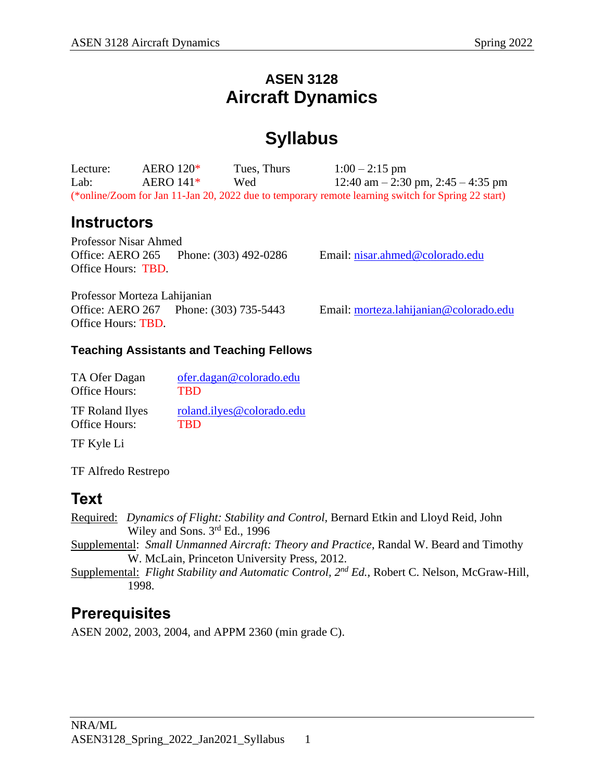### **ASEN 3128 Aircraft Dynamics**

# **Syllabus**

| Lecture: | AERO $120*$ | Tues, Thurs | $1:00 - 2:15$ pm                                                                                   |
|----------|-------------|-------------|----------------------------------------------------------------------------------------------------|
| Lab:     | AERO $141*$ | Wed         | 12:40 am $-$ 2:30 pm, 2:45 $-$ 4:35 pm                                                             |
|          |             |             | (*online/Zoom for Jan 11-Jan 20, 2022 due to temporary remote learning switch for Spring 22 start) |

### **Instructors**

Professor Nisar Ahmed Office: AERO 265 Phone: (303) 492-0286 Email: [nisar.ahmed@colorado.edu](mailto:nisar.ahmed@colorado.edu) Office Hours: TBD.

Professor Morteza Lahijanian Office: AERO 267 Phone: (303) 735-5443 Email: [morteza.lahijanian@colorado.edu](mailto:morteza.lahijanian@colorado.edu) Office Hours: TBD.

#### **Teaching Assistants and Teaching Fellows**

| TA Ofer Dagan          | ofer.dagan@colorado.edu   |
|------------------------|---------------------------|
| Office Hours:          | <b>TRD</b>                |
| <b>TF Roland Ilyes</b> | roland.ilyes@colorado.edu |
| Office Hours:          | <b>TRD</b>                |

TF Kyle Li

TF Alfredo Restrepo

### **Text**

Required: *Dynamics of Flight: Stability and Control,* Bernard Etkin and Lloyd Reid, John Wiley and Sons. 3<sup>rd</sup> Ed., 1996

Supplemental: *Small Unmanned Aircraft: Theory and Practice*, Randal W. Beard and Timothy W. McLain, Princeton University Press, 2012.

Supplemental: *Flight Stability and Automatic Control, 2nd Ed.*, Robert C. Nelson, McGraw-Hill, 1998.

### **Prerequisites**

ASEN 2002, 2003, 2004, and APPM 2360 (min grade C).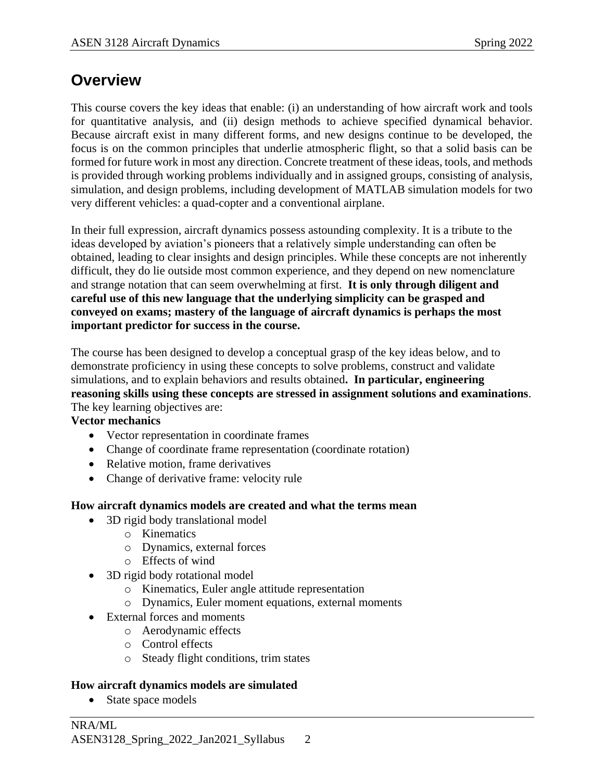### **Overview**

This course covers the key ideas that enable: (i) an understanding of how aircraft work and tools for quantitative analysis, and (ii) design methods to achieve specified dynamical behavior. Because aircraft exist in many different forms, and new designs continue to be developed, the focus is on the common principles that underlie atmospheric flight, so that a solid basis can be formed for future work in most any direction. Concrete treatment of these ideas, tools, and methods is provided through working problems individually and in assigned groups, consisting of analysis, simulation, and design problems, including development of MATLAB simulation models for two very different vehicles: a quad-copter and a conventional airplane.

In their full expression, aircraft dynamics possess astounding complexity. It is a tribute to the ideas developed by aviation's pioneers that a relatively simple understanding can often be obtained, leading to clear insights and design principles. While these concepts are not inherently difficult, they do lie outside most common experience, and they depend on new nomenclature and strange notation that can seem overwhelming at first. **It is only through diligent and careful use of this new language that the underlying simplicity can be grasped and conveyed on exams; mastery of the language of aircraft dynamics is perhaps the most important predictor for success in the course.**

The course has been designed to develop a conceptual grasp of the key ideas below, and to demonstrate proficiency in using these concepts to solve problems, construct and validate simulations, and to explain behaviors and results obtained**. In particular, engineering reasoning skills using these concepts are stressed in assignment solutions and examinations**. The key learning objectives are:

**Vector mechanics**

- Vector representation in coordinate frames
- Change of coordinate frame representation (coordinate rotation)
- Relative motion, frame derivatives
- Change of derivative frame: velocity rule

#### **How aircraft dynamics models are created and what the terms mean**

- 3D rigid body translational model
	- o Kinematics
	- o Dynamics, external forces
	- o Effects of wind
- 3D rigid body rotational model
	- o Kinematics, Euler angle attitude representation
	- o Dynamics, Euler moment equations, external moments
- External forces and moments
	- o Aerodynamic effects
	- o Control effects
	- o Steady flight conditions, trim states

#### **How aircraft dynamics models are simulated**

• State space models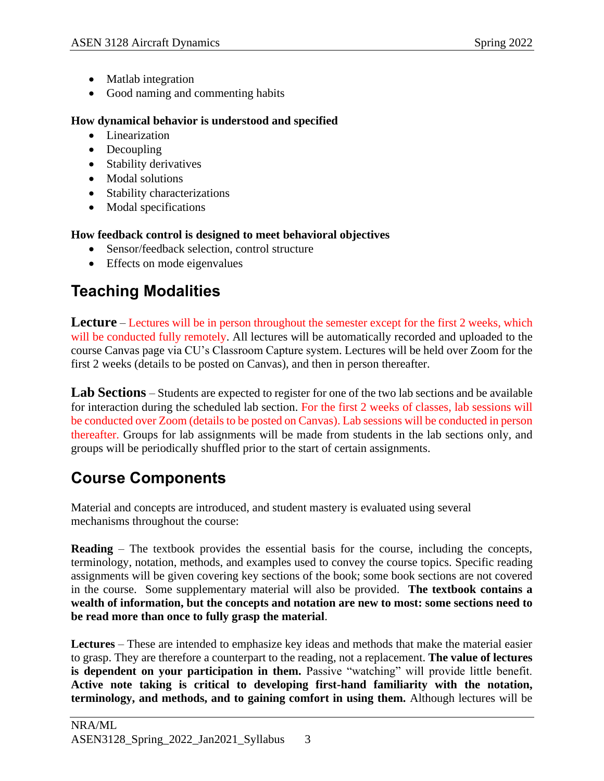- Matlab integration
- Good naming and commenting habits

#### **How dynamical behavior is understood and specified**

- Linearization
- Decoupling
- Stability derivatives
- Modal solutions
- Stability characterizations
- Modal specifications

#### **How feedback control is designed to meet behavioral objectives**

- Sensor/feedback selection, control structure
- Effects on mode eigenvalues

# **Teaching Modalities**

**Lecture** – Lectures will be in person throughout the semester except for the first 2 weeks, which will be conducted fully remotely. All lectures will be automatically recorded and uploaded to the course Canvas page via CU's Classroom Capture system. Lectures will be held over Zoom for the first 2 weeks (details to be posted on Canvas), and then in person thereafter.

**Lab Sections** – Students are expected to register for one of the two lab sections and be available for interaction during the scheduled lab section. For the first 2 weeks of classes, lab sessions will be conducted over Zoom (details to be posted on Canvas). Lab sessions will be conducted in person thereafter. Groups for lab assignments will be made from students in the lab sections only, and groups will be periodically shuffled prior to the start of certain assignments.

## **Course Components**

Material and concepts are introduced, and student mastery is evaluated using several mechanisms throughout the course:

**Reading** – The textbook provides the essential basis for the course, including the concepts, terminology, notation, methods, and examples used to convey the course topics. Specific reading assignments will be given covering key sections of the book; some book sections are not covered in the course. Some supplementary material will also be provided. **The textbook contains a wealth of information, but the concepts and notation are new to most: some sections need to be read more than once to fully grasp the material**.

**Lectures** – These are intended to emphasize key ideas and methods that make the material easier to grasp. They are therefore a counterpart to the reading, not a replacement. **The value of lectures is dependent on your participation in them.** Passive "watching" will provide little benefit. **Active note taking is critical to developing first-hand familiarity with the notation, terminology, and methods, and to gaining comfort in using them.** Although lectures will be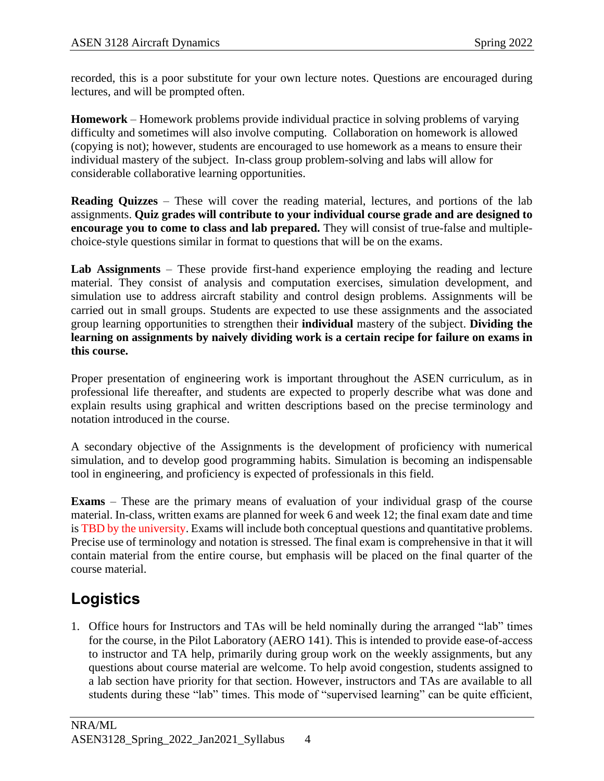recorded, this is a poor substitute for your own lecture notes. Questions are encouraged during lectures, and will be prompted often.

**Homework** – Homework problems provide individual practice in solving problems of varying difficulty and sometimes will also involve computing. Collaboration on homework is allowed (copying is not); however, students are encouraged to use homework as a means to ensure their individual mastery of the subject. In-class group problem-solving and labs will allow for considerable collaborative learning opportunities.

**Reading Quizzes** – These will cover the reading material, lectures, and portions of the lab assignments. **Quiz grades will contribute to your individual course grade and are designed to encourage you to come to class and lab prepared.** They will consist of true-false and multiplechoice-style questions similar in format to questions that will be on the exams.

**Lab Assignments** – These provide first-hand experience employing the reading and lecture material. They consist of analysis and computation exercises, simulation development, and simulation use to address aircraft stability and control design problems. Assignments will be carried out in small groups. Students are expected to use these assignments and the associated group learning opportunities to strengthen their **individual** mastery of the subject. **Dividing the learning on assignments by naively dividing work is a certain recipe for failure on exams in this course.**

Proper presentation of engineering work is important throughout the ASEN curriculum, as in professional life thereafter, and students are expected to properly describe what was done and explain results using graphical and written descriptions based on the precise terminology and notation introduced in the course.

A secondary objective of the Assignments is the development of proficiency with numerical simulation, and to develop good programming habits. Simulation is becoming an indispensable tool in engineering, and proficiency is expected of professionals in this field.

**Exams** – These are the primary means of evaluation of your individual grasp of the course material. In-class, written exams are planned for week 6 and week 12; the final exam date and time is TBD by the university. Exams will include both conceptual questions and quantitative problems. Precise use of terminology and notation is stressed. The final exam is comprehensive in that it will contain material from the entire course, but emphasis will be placed on the final quarter of the course material.

## **Logistics**

1. Office hours for Instructors and TAs will be held nominally during the arranged "lab" times for the course, in the Pilot Laboratory (AERO 141). This is intended to provide ease-of-access to instructor and TA help, primarily during group work on the weekly assignments, but any questions about course material are welcome. To help avoid congestion, students assigned to a lab section have priority for that section. However, instructors and TAs are available to all students during these "lab" times. This mode of "supervised learning" can be quite efficient,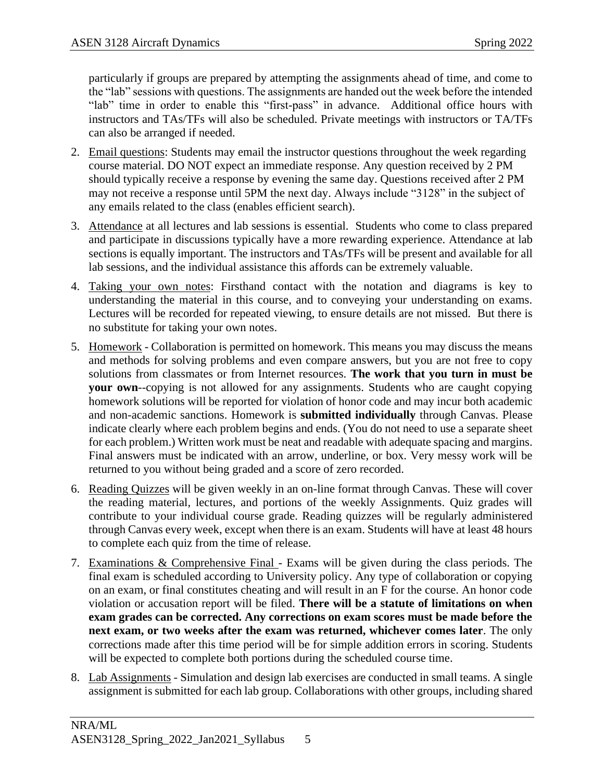particularly if groups are prepared by attempting the assignments ahead of time, and come to the "lab" sessions with questions. The assignments are handed out the week before the intended "lab" time in order to enable this "first-pass" in advance. Additional office hours with instructors and TAs/TFs will also be scheduled. Private meetings with instructors or TA/TFs can also be arranged if needed.

- 2. Email questions: Students may email the instructor questions throughout the week regarding course material. DO NOT expect an immediate response. Any question received by 2 PM should typically receive a response by evening the same day. Questions received after 2 PM may not receive a response until 5PM the next day. Always include "3128" in the subject of any emails related to the class (enables efficient search).
- 3. Attendance at all lectures and lab sessions is essential. Students who come to class prepared and participate in discussions typically have a more rewarding experience. Attendance at lab sections is equally important. The instructors and TAs/TFs will be present and available for all lab sessions, and the individual assistance this affords can be extremely valuable.
- 4. Taking your own notes: Firsthand contact with the notation and diagrams is key to understanding the material in this course, and to conveying your understanding on exams. Lectures will be recorded for repeated viewing, to ensure details are not missed. But there is no substitute for taking your own notes.
- 5. Homework Collaboration is permitted on homework. This means you may discuss the means and methods for solving problems and even compare answers, but you are not free to copy solutions from classmates or from Internet resources. **The work that you turn in must be your own**--copying is not allowed for any assignments. Students who are caught copying homework solutions will be reported for violation of honor code and may incur both academic and non-academic sanctions. Homework is **submitted individually** through Canvas. Please indicate clearly where each problem begins and ends. (You do not need to use a separate sheet for each problem.) Written work must be neat and readable with adequate spacing and margins. Final answers must be indicated with an arrow, underline, or box. Very messy work will be returned to you without being graded and a score of zero recorded.
- 6. Reading Quizzes will be given weekly in an on-line format through Canvas. These will cover the reading material, lectures, and portions of the weekly Assignments. Quiz grades will contribute to your individual course grade. Reading quizzes will be regularly administered through Canvas every week, except when there is an exam. Students will have at least 48 hours to complete each quiz from the time of release.
- 7. Examinations & Comprehensive Final Exams will be given during the class periods. The final exam is scheduled according to University policy. Any type of collaboration or copying on an exam, or final constitutes cheating and will result in an F for the course. An honor code violation or accusation report will be filed. **There will be a statute of limitations on when exam grades can be corrected. Any corrections on exam scores must be made before the next exam, or two weeks after the exam was returned, whichever comes later**. The only corrections made after this time period will be for simple addition errors in scoring. Students will be expected to complete both portions during the scheduled course time.
- 8. Lab Assignments Simulation and design lab exercises are conducted in small teams. A single assignment is submitted for each lab group. Collaborations with other groups, including shared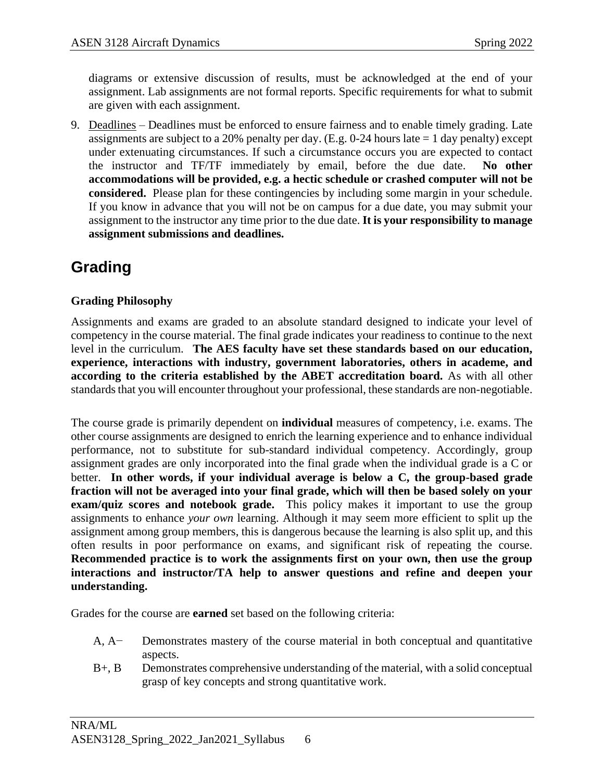diagrams or extensive discussion of results, must be acknowledged at the end of your assignment. Lab assignments are not formal reports. Specific requirements for what to submit are given with each assignment.

9. Deadlines – Deadlines must be enforced to ensure fairness and to enable timely grading. Late assignments are subject to a 20% penalty per day. (E.g. 0-24 hours late  $= 1$  day penalty) except under extenuating circumstances. If such a circumstance occurs you are expected to contact the instructor and TF/TF immediately by email, before the due date. **No other accommodations will be provided, e.g. a hectic schedule or crashed computer will not be considered.** Please plan for these contingencies by including some margin in your schedule. If you know in advance that you will not be on campus for a due date, you may submit your assignment to the instructor any time prior to the due date. **It is your responsibility to manage assignment submissions and deadlines.**

## **Grading**

#### **Grading Philosophy**

Assignments and exams are graded to an absolute standard designed to indicate your level of competency in the course material. The final grade indicates your readiness to continue to the next level in the curriculum. **The AES faculty have set these standards based on our education, experience, interactions with industry, government laboratories, others in academe, and according to the criteria established by the ABET accreditation board.** As with all other standards that you will encounter throughout your professional, these standards are non-negotiable.

The course grade is primarily dependent on **individual** measures of competency, i.e. exams. The other course assignments are designed to enrich the learning experience and to enhance individual performance, not to substitute for sub-standard individual competency. Accordingly, group assignment grades are only incorporated into the final grade when the individual grade is a C or better. **In other words, if your individual average is below a C, the group-based grade fraction will not be averaged into your final grade, which will then be based solely on your exam/quiz scores and notebook grade.** This policy makes it important to use the group assignments to enhance *your own* learning. Although it may seem more efficient to split up the assignment among group members, this is dangerous because the learning is also split up, and this often results in poor performance on exams, and significant risk of repeating the course. **Recommended practice is to work the assignments first on your own, then use the group interactions and instructor/TA help to answer questions and refine and deepen your understanding.**

Grades for the course are **earned** set based on the following criteria:

- A, A− Demonstrates mastery of the course material in both conceptual and quantitative aspects.
- B+, B Demonstrates comprehensive understanding of the material, with a solid conceptual grasp of key concepts and strong quantitative work.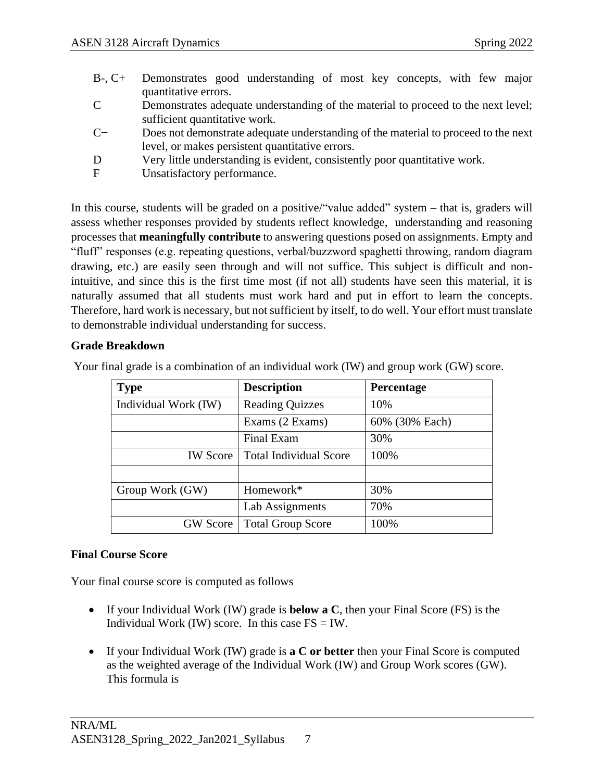- B-, C+ Demonstrates good understanding of most key concepts, with few major quantitative errors.
- C Demonstrates adequate understanding of the material to proceed to the next level; sufficient quantitative work.
- C− Does not demonstrate adequate understanding of the material to proceed to the next level, or makes persistent quantitative errors.
- D Very little understanding is evident, consistently poor quantitative work.
- F Unsatisfactory performance.

In this course, students will be graded on a positive/"value added" system – that is, graders will assess whether responses provided by students reflect knowledge, understanding and reasoning processes that **meaningfully contribute** to answering questions posed on assignments. Empty and "fluff" responses (e.g. repeating questions, verbal/buzzword spaghetti throwing, random diagram drawing, etc.) are easily seen through and will not suffice. This subject is difficult and nonintuitive, and since this is the first time most (if not all) students have seen this material, it is naturally assumed that all students must work hard and put in effort to learn the concepts. Therefore, hard work is necessary, but not sufficient by itself, to do well. Your effort must translate to demonstrable individual understanding for success.

#### **Grade Breakdown**

| <b>Type</b>          | <b>Description</b>            | Percentage     |
|----------------------|-------------------------------|----------------|
| Individual Work (IW) | <b>Reading Quizzes</b>        | 10%            |
|                      | Exams (2 Exams)               | 60% (30% Each) |
|                      | <b>Final Exam</b>             | 30%            |
| <b>IW</b> Score      | <b>Total Individual Score</b> | 100%           |
|                      |                               |                |
| Group Work (GW)      | Homework*                     | 30%            |
|                      | Lab Assignments               | 70%            |
| <b>GW</b> Score      | <b>Total Group Score</b>      | 100%           |

Your final grade is a combination of an individual work (IW) and group work (GW) score.

#### **Final Course Score**

Your final course score is computed as follows

- If your Individual Work (IW) grade is **below a C**, then your Final Score (FS) is the Individual Work (IW) score. In this case  $FS = IW$ .
- If your Individual Work (IW) grade is **a C or better** then your Final Score is computed as the weighted average of the Individual Work (IW) and Group Work scores (GW). This formula is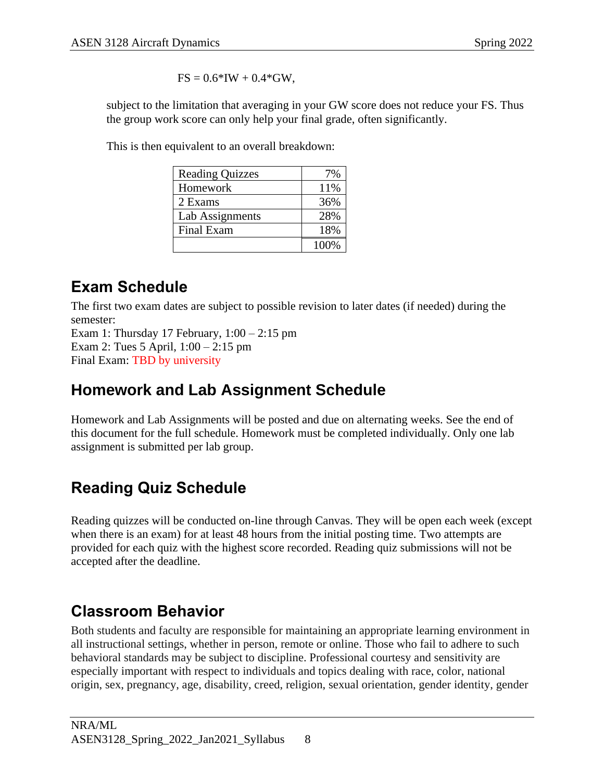$FS = 0.6*IW + 0.4*GW$ ,

subject to the limitation that averaging in your GW score does not reduce your FS. Thus the group work score can only help your final grade, often significantly.

This is then equivalent to an overall breakdown:

| <b>Reading Quizzes</b> | 7%   |
|------------------------|------|
| Homework               | 11%  |
| 2 Exams                | 36%  |
| <b>Lab Assignments</b> | 28%  |
| <b>Final Exam</b>      | 18%  |
|                        | 100% |

# **Exam Schedule**

The first two exam dates are subject to possible revision to later dates (if needed) during the semester:

Exam 1: Thursday 17 February,  $1:00 - 2:15$  pm Exam 2: Tues 5 April, 1:00 – 2:15 pm Final Exam: TBD by university

## **Homework and Lab Assignment Schedule**

Homework and Lab Assignments will be posted and due on alternating weeks. See the end of this document for the full schedule. Homework must be completed individually. Only one lab assignment is submitted per lab group.

# **Reading Quiz Schedule**

Reading quizzes will be conducted on-line through Canvas. They will be open each week (except when there is an exam) for at least 48 hours from the initial posting time. Two attempts are provided for each quiz with the highest score recorded. Reading quiz submissions will not be accepted after the deadline.

## **Classroom Behavior**

Both students and faculty are responsible for maintaining an appropriate learning environment in all instructional settings, whether in person, remote or online. Those who fail to adhere to such behavioral standards may be subject to discipline. Professional courtesy and sensitivity are especially important with respect to individuals and topics dealing with race, color, national origin, sex, pregnancy, age, disability, creed, religion, sexual orientation, gender identity, gender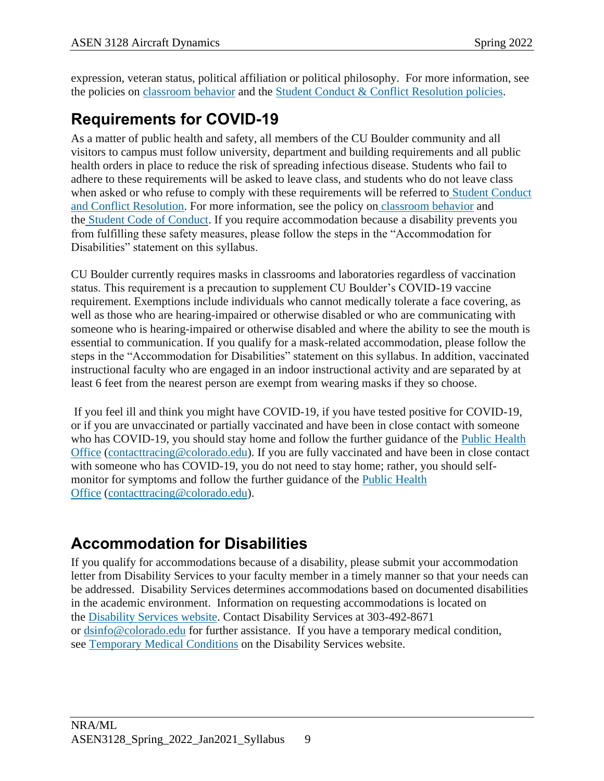expression, veteran status, political affiliation or political philosophy. For more information, see the policies on [classroom](http://www.colorado.edu/policies/student-classroom-and-course-related-behavior) behavior and the Student Conduct & Conflict [Resolution](https://www.colorado.edu/sccr/student-conduct) policies.

# **Requirements for COVID-19**

As a matter of public health and safety, all members of the CU Boulder community and all visitors to campus must follow university, department and building requirements and all public health orders in place to reduce the risk of spreading infectious disease. Students who fail to adhere to these requirements will be asked to leave class, and students who do not leave class when asked or who refuse to comply with these requirements will be referred to Student [Conduct](https://www.colorado.edu/sccr/) and Conflict [Resolution.](https://www.colorado.edu/sccr/) For more information, see the policy on [classroom](http://www.colorado.edu/policies/student-classroom-and-course-related-behavior) behavior and the Student Code of [Conduct.](http://www.colorado.edu/osccr/) If you require accommodation because a disability prevents you from fulfilling these safety measures, please follow the steps in the "Accommodation for Disabilities" statement on this syllabus.

CU Boulder currently requires masks in classrooms and laboratories regardless of vaccination status. This requirement is a precaution to supplement CU Boulder's COVID-19 vaccine requirement. Exemptions include individuals who cannot medically tolerate a face covering, as well as those who are hearing-impaired or otherwise disabled or who are communicating with someone who is hearing-impaired or otherwise disabled and where the ability to see the mouth is essential to communication. If you qualify for a mask-related accommodation, please follow the steps in the "Accommodation for Disabilities" statement on this syllabus. In addition, vaccinated instructional faculty who are engaged in an indoor instructional activity and are separated by at least 6 feet from the nearest person are exempt from wearing masks if they so choose.

If you feel ill and think you might have COVID-19, if you have tested positive for COVID-19, or if you are unvaccinated or partially vaccinated and have been in close contact with someone who has COVID-19, you should stay home and follow the further guidance of the Public [Health](https://www.colorado.edu/health/public-health/quarantine-and-isolation) [Office](https://www.colorado.edu/health/public-health/quarantine-and-isolation) (contacttracing  $@$  colorado.edu). If you are fully vaccinated and have been in close contact with someone who has COVID-19, you do not need to stay home; rather, you should selfmonitor for symptoms and follow the further guidance of the Public [Health](https://www.colorado.edu/health/public-health/quarantine-and-isolation) [Office](https://www.colorado.edu/health/public-health/quarantine-and-isolation) [\(contacttracing@colorado.edu\)](mailto:contacttracing@colorado.edu).

# **Accommodation for Disabilities**

If you qualify for accommodations because of a disability, please submit your accommodation letter from Disability Services to your faculty member in a timely manner so that your needs can be addressed. Disability Services determines accommodations based on documented disabilities in the academic environment. Information on requesting accommodations is located on the [Disability](https://www.colorado.edu/disabilityservices/) Services website. Contact Disability Services at 303-492-8671 or [dsinfo@colorado.edu](mailto:dsinfo@colorado.edu) for further assistance. If you have a temporary medical condition, see [Temporary](http://www.colorado.edu/disabilityservices/students/temporary-medical-conditions) Medical Conditions on the Disability Services website.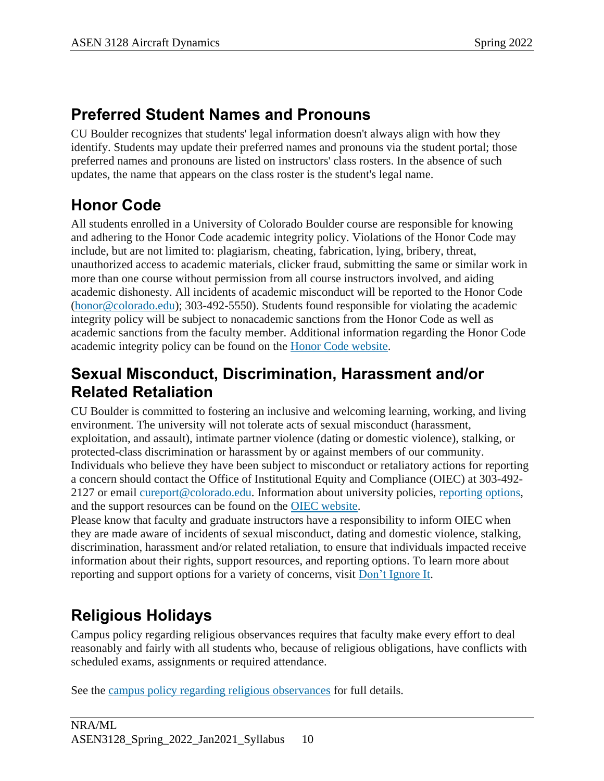### **Preferred Student Names and Pronouns**

CU Boulder recognizes that students' legal information doesn't always align with how they identify. Students may update their preferred names and pronouns via the student portal; those preferred names and pronouns are listed on instructors' class rosters. In the absence of such updates, the name that appears on the class roster is the student's legal name.

## **Honor Code**

All students enrolled in a University of Colorado Boulder course are responsible for knowing and adhering to the Honor Code academic integrity policy. Violations of the Honor Code may include, but are not limited to: plagiarism, cheating, fabrication, lying, bribery, threat, unauthorized access to academic materials, clicker fraud, submitting the same or similar work in more than one course without permission from all course instructors involved, and aiding academic dishonesty. All incidents of academic misconduct will be reported to the Honor Code [\(honor@colorado.edu\)](mailto:honor@colorado.edu); 303-492-5550). Students found responsible for violating the academic integrity policy will be subject to nonacademic sanctions from the Honor Code as well as academic sanctions from the faculty member. Additional information regarding the Honor Code academic integrity policy can be found on the Honor Code [website.](https://www.colorado.edu/osccr/honor-code)

### **Sexual Misconduct, Discrimination, Harassment and/or Related Retaliation**

CU Boulder is committed to fostering an inclusive and welcoming learning, working, and living environment. The university will not tolerate acts of sexual misconduct (harassment, exploitation, and assault), intimate partner violence (dating or domestic violence), stalking, or protected-class discrimination or harassment by or against members of our community. Individuals who believe they have been subject to misconduct or retaliatory actions for reporting a concern should contact the Office of Institutional Equity and Compliance (OIEC) at 303-492- 2127 or email [cureport@colorado.edu.](mailto:cureport@colorado.edu) Information about university policies, [reporting](https://www.colorado.edu/oiec/reporting-resolutions/making-report) options, and the support resources can be found on the OIEC [website.](http://www.colorado.edu/institutionalequity/)

Please know that faculty and graduate instructors have a responsibility to inform OIEC when they are made aware of incidents of sexual misconduct, dating and domestic violence, stalking, discrimination, harassment and/or related retaliation, to ensure that individuals impacted receive information about their rights, support resources, and reporting options. To learn more about reporting and support options for a variety of concerns, visit Don't [Ignore](https://www.colorado.edu/dontignoreit/) It.

# **Religious Holidays**

Campus policy regarding religious observances requires that faculty make every effort to deal reasonably and fairly with all students who, because of religious obligations, have conflicts with scheduled exams, assignments or required attendance.

See the campus policy regarding religious [observances](http://www.colorado.edu/policies/observance-religious-holidays-and-absences-classes-andor-exams) for full details.